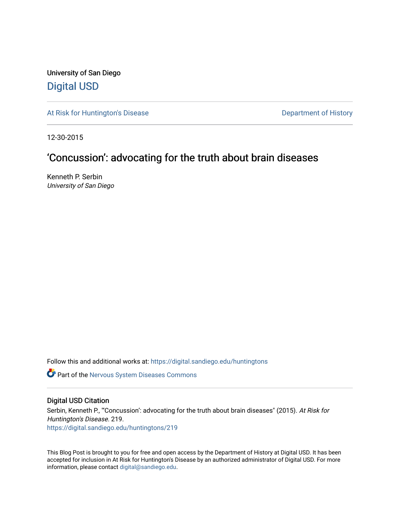University of San Diego [Digital USD](https://digital.sandiego.edu/)

[At Risk for Huntington's Disease](https://digital.sandiego.edu/huntingtons) **Department of History** Department of History

12-30-2015

# 'Concussion': advocating for the truth about brain diseases

Kenneth P. Serbin University of San Diego

Follow this and additional works at: [https://digital.sandiego.edu/huntingtons](https://digital.sandiego.edu/huntingtons?utm_source=digital.sandiego.edu%2Fhuntingtons%2F219&utm_medium=PDF&utm_campaign=PDFCoverPages)

**C** Part of the [Nervous System Diseases Commons](http://network.bepress.com/hgg/discipline/928?utm_source=digital.sandiego.edu%2Fhuntingtons%2F219&utm_medium=PDF&utm_campaign=PDFCoverPages)

### Digital USD Citation

Serbin, Kenneth P., "Concussion': advocating for the truth about brain diseases" (2015). At Risk for Huntington's Disease. 219. [https://digital.sandiego.edu/huntingtons/219](https://digital.sandiego.edu/huntingtons/219?utm_source=digital.sandiego.edu%2Fhuntingtons%2F219&utm_medium=PDF&utm_campaign=PDFCoverPages)

This Blog Post is brought to you for free and open access by the Department of History at Digital USD. It has been accepted for inclusion in At Risk for Huntington's Disease by an authorized administrator of Digital USD. For more information, please contact [digital@sandiego.edu.](mailto:digital@sandiego.edu)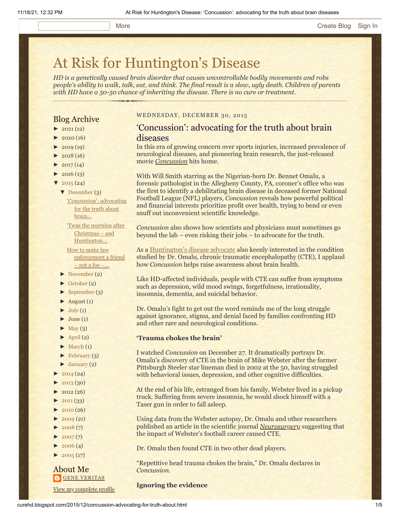# [At Risk for Huntington's Disease](http://curehd.blogspot.com/)

*HD is a genetically caused brain disorder that causes uncontrollable bodily movements and robs people's ability to walk, talk, eat, and think. The final result is a slow, ugly death. Children of parents with HD have a 50-50 chance of inheriting the disease. There is no cure or treatment.*

### Blog Archive

- $\blacktriangleright$  [2021](http://curehd.blogspot.com/2021/) (12)
- $2020(16)$  $2020(16)$
- $2019(19)$  $2019(19)$
- $\blacktriangleright$  [2018](http://curehd.blogspot.com/2018/) (16)
- $2017(14)$  $2017(14)$
- $2016(13)$  $2016(13)$
- $\sqrt{2015(24)}$  $\sqrt{2015(24)}$  $\sqrt{2015(24)}$ 
	- [▼](javascript:void(0)) [December](http://curehd.blogspot.com/2015/12/) (3)
	- ['Concussion':](http://curehd.blogspot.com/2015/12/concussion-advocating-for-truth-about.html) advocating for the truth about brain...
	- 'Twas the morning after Christmas – and [Huntington...](http://curehd.blogspot.com/2015/12/twas-morning-after-christmas-and.html)
	- How to make law [enforcement](http://curehd.blogspot.com/2015/12/how-to-make-law-enforcement-friend-not.html) a friend  $-$  not a foe  $-$ ...
	- [►](javascript:void(0)) [November](http://curehd.blogspot.com/2015/11/) (2)
	- [►](javascript:void(0)) [October](http://curehd.blogspot.com/2015/10/) (2)
	- [►](javascript:void(0)) [September](http://curehd.blogspot.com/2015/09/) (3)
	- $\blacktriangleright$  [August](http://curehd.blogspot.com/2015/08/) (1)
	- $\blacktriangleright$  [July](http://curehd.blogspot.com/2015/07/) (1)
	- $\blacktriangleright$  [June](http://curehd.blogspot.com/2015/06/) (1)
	- $\blacktriangleright$  [May](http://curehd.blogspot.com/2015/05/) (3)
	- $\blacktriangleright$  [April](http://curehd.blogspot.com/2015/04/) (2)
	- $\blacktriangleright$  [March](http://curehd.blogspot.com/2015/03/)  $(1)$
- $\blacktriangleright$  [February](http://curehd.blogspot.com/2015/02/) (3)
- $\blacktriangleright$  [January](http://curehd.blogspot.com/2015/01/) (2)
- $2014(24)$  $2014(24)$
- $2013(30)$  $2013(30)$
- $\blacktriangleright$  [2012](http://curehd.blogspot.com/2012/) (26)
- $\blacktriangleright$  [2011](http://curehd.blogspot.com/2011/) (33)
- $2010(26)$  $2010(26)$
- $\blacktriangleright$  [2009](http://curehd.blogspot.com/2009/) (21)
- $2008(7)$  $2008(7)$
- $\blacktriangleright$  [2007](http://curehd.blogspot.com/2007/) $(7)$
- $\blacktriangleright$  [2006](http://curehd.blogspot.com/2006/) (4)
- $\blacktriangleright$  [2005](http://curehd.blogspot.com/2005/) (17)

About Me **GENE [VERITAS](https://www.blogger.com/profile/10911736205741688185)** 

View my [complete](https://www.blogger.com/profile/10911736205741688185) profile

### WEDNESDAY, DECEMBER 30, 2015

### 'Concussion': advocating for the truth about brain diseases

In this era of growing concern over sports injuries, increased prevalence of neurological diseases, and pioneering brain research, the just-released movie *[Concussion](http://www.imdb.com/title/tt3322364/)* hits home.

With Will Smith starring as the Nigerian-born Dr. Bennet Omalu, a forensic pathologist in the Allegheny County, PA, coroner's office who was the first to identify a debilitating brain disease in deceased former National Football League (NFL) players, *Concussion* reveals how powerful political and financial interests prioritize profit over health, trying to bend or even snuff out inconvenient scientific knowledge.

*Concussion* also shows how scientists and physicians must sometimes go beyond the lab – even risking their jobs – to advocate for the truth.

As a [Huntington's disease advocate](http://curehd.blogspot.com/2013/12/its-playoff-time-and-reminder-that.html) also keenly interested in the condition studied by Dr. Omalu, chronic traumatic encephalopathy (CTE), I applaud how *Concussion* helps raise awareness about brain health.

Like HD-affected individuals, people with CTE can suffer from symptoms such as depression, wild mood swings, forgetfulness, irrationality, insomnia, dementia, and suicidal behavior.

Dr. Omalu's fight to get out the word reminds me of the long struggle against ignorance, stigma, and denial faced by families confronting HD and other rare and neurological conditions.

### **'Trauma chokes the brain'**

I watched *Concussion* on December 27. It dramatically portrays Dr. Omalu's discovery of CTE in the brain of Mike Webster after the former Pittsburgh Steeler star lineman died in 2002 at the 50, having struggled with behavioral issues, depression, and other cognitive difficulties.

At the end of his life, estranged from his family, Webster lived in a pickup truck. Suffering from severe insomnia, he would shock himself with a Taser gun in order to fall asleep.

Using data from the Webster autopsy, Dr. Omalu and other researchers published an article in the scientific journal *[Neurosurgery](http://journals.lww.com/neurosurgery/Abstract/2005/07000/Chronic_Traumatic_Encephalopathy_in_a_National.21.aspx)* suggesting that the impact of Webster's football career caused CTE.

Dr. Omalu then found CTE in two other dead players.

"Repetitive head trauma chokes the brain," Dr. Omalu declares in *Concussion*.

**Ignoring the evidence**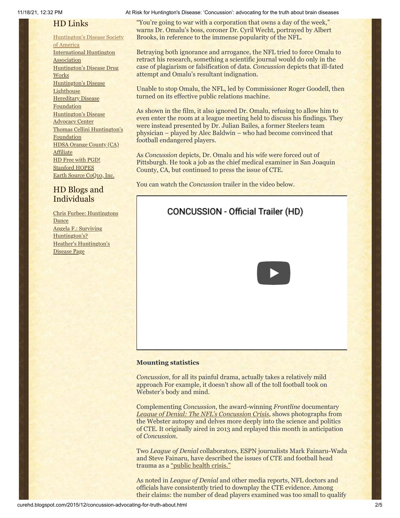### HD Links

[Huntington's](http://www.hdsa.org/) Disease Society of America [International](http://www.huntington-assoc.com/) Huntington **Association** [Huntington's](http://hddrugworks.org/) Disease Drug **Works** [Huntington's](http://www.hdlighthouse.org/) Disease **Lighthouse Hereditary Disease [Foundation](http://www.hdfoundation.org/)** [Huntington's](http://www.hdac.org/) Disease Advocacy Center Thomas [Cellini Huntington's](http://www.ourtchfoundation.org/) **Foundation** HDSA Orange County (CA) **[Affiliate](http://www.hdsaoc.org/)** HD Free with [PGD!](http://www.hdfreewithpgd.com/) [Stanford](http://www.stanford.edu/group/hopes/) HOPES Earth Source [CoQ10,](http://www.escoq10.com/) Inc.

## HD Blogs and Individuals

Chris Furbee: [Huntingtons](http://www.huntingtonsdance.org/) Dance Angela F.: Surviving [Huntington's?](http://survivinghuntingtons.blogspot.com/) Heather's [Huntington's](http://heatherdugdale.angelfire.com/) Disease Page

### 11/18/21, 12:32 PM At Risk for Huntington's Disease: 'Concussion': advocating for the truth about brain diseases

"You're going to war with a corporation that owns a day of the week," warns Dr. Omalu's boss, coroner Dr. Cyril Wecht, portrayed by Albert Brooks, in reference to the immense popularity of the NFL.

Betraying both ignorance and arrogance, the NFL tried to force Omalu to retract his research, something a scientific journal would do only in the case of plagiarism or falsification of data. *Concussion* depicts that ill-fated attempt and Omalu's resultant indignation.

Unable to stop Omalu, the NFL, led by Commissioner Roger Goodell, then turned on its effective public relations machine.

As shown in the film, it also ignored Dr. Omalu, refusing to allow him to even enter the room at a league meeting held to discuss his findings. They were instead presented by Dr. Julian Bailes, a former Steelers team physician – played by Alec Baldwin – who had become convinced that football endangered players.

As *Concussion* depicts, Dr. Omalu and his wife were forced out of Pittsburgh. He took a job as the chief medical examiner in San Joaquin County, CA, but continued to press the issue of CTE.

You can watch the *Concussion* trailer in the video below.

# [CONCUSSION - Official Trailer \(HD\)](https://www.youtube.com/watch?v=Io6hPdC41RM)



### **Mounting statistics**

*Concussion*, for all its painful drama, actually takes a relatively mild approach For example, it doesn't show all of the toll football took on Webster's body and mind.

Complementing *Concussion*, the award-winning *Frontline* documentary *[League of Denial: The NFL's Concussion Crisis](http://www.pbs.org/wgbh/frontline/film/league-of-denial/)*, shows photographs from the Webster autopsy and delves more deeply into the science and politics of CTE. It originally aired in 2013 and replayed this month in anticipation of *Concussion.*

Two *League of Denial* collaborators, ESPN journalists Mark Fainaru-Wada and Steve Fainaru, have described the issues of CTE and football head trauma as a ["public health crisis."](http://espn.go.com/nfl/story/_/id/9755850/new-book-reveals-moment-nfl-no-longer-ignore-concussion-science-espn-magazine)

As noted in *League of Denial* and other media reports, NFL doctors and officials have consistently tried to downplay the CTE evidence. Among their claims: the number of dead players examined was too small to qualify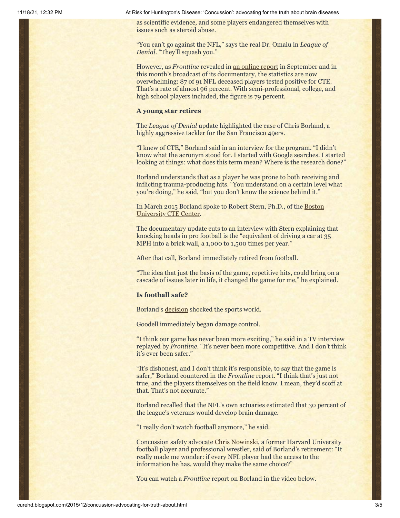11/18/21, 12:32 PM At Risk for Huntington's Disease: 'Concussion': advocating for the truth about brain diseases

as scientific evidence, and some players endangered themselves with issues such as steroid abuse.

"You can't go against the NFL," says the real Dr. Omalu in *League of Denial*. "They'll squash you."

However, as *Frontline* revealed in [an online report](http://www.pbs.org/wgbh/frontline/article/new-87-deceased-nfl-players-test-positive-for-brain-disease/) in September and in this month's broadcast of its documentary, the statistics are now overwhelming: 87 of 91 NFL deceased players tested positive for CTE. That's a rate of almost 96 percent. With semi-professional, college, and high school players included, the figure is 79 percent.

### **A young star retires**

The *League of Denial* update highlighted the case of Chris Borland, a highly aggressive tackler for the San Francisco 49ers.

"I knew of CTE," Borland said in an interview for the program. "I didn't know what the acronym stood for. I started with Google searches. I started looking at things: what does this term mean? Where is the research done?"

Borland understands that as a player he was prone to both receiving and inflicting trauma-producing hits. "You understand on a certain level what you're doing," he said, "but you don't know the science behind it."

In March 2015 Borland [spoke to Robert Stern, Ph.D., of the Boston](http://www.bu.edu/cte/) University CTE Center.

The documentary update cuts to an interview with Stern explaining that knocking heads in pro football is the "equivalent of driving a car at 35 MPH into a brick wall, a 1,000 to 1,500 times per year."

After that call, Borland immediately retired from football.

"The idea that just the basis of the game, repetitive hits, could bring on a cascade of issues later in life, it changed the game for me," he explained.

### **Is football safe?**

Borland's [decision](http://espn.go.com/espn/otl/story/_/id/12496480/san-francisco-49ers-linebacker-chris-borland-retires-head-injury-concerns) shocked the sports world.

Goodell immediately began damage control.

"I think our game has never been more exciting," he said in a TV interview replayed by *Frontline*. "It's never been more competitive. And I don't think it's ever been safer."

"It's dishonest, and I don't think it's responsible, to say that the game is safer," Borland countered in the *Frontline* report. "I think that's just not true, and the players themselves on the field know. I mean, they'd scoff at that. That's not accurate."

Borland recalled that the NFL's own actuaries estimated that 30 percent of the league's veterans would develop brain damage.

"I really don't watch football anymore," he said.

Concussion safety advocate [Chris Nowinski](http://chrisnowinski.com/meet-chris/), a former Harvard University football player and professional wrestler, said of Borland's retirement: "It really made me wonder: if every NFL player had the access to the information he has, would they make the same choice?"

You can watch a *Frontline* report on Borland in the video below.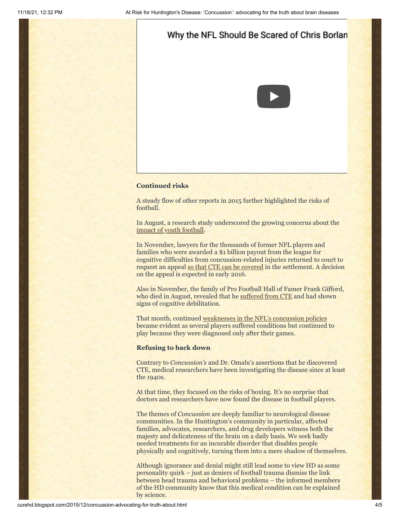# [Why the NFL Should Be Scared of Chris Borlan](https://www.youtube.com/watch?v=0nVYJIJTxAw)

### **Continued risks**

A steady flow of other reports in 2015 further highlighted the risks of football.

In August, a research study underscored the growing concerns about the [impact of youth football.](http://www.pbs.org/wgbh/frontline/article/study-of-former-nfl-players-shows-risks-for-brain-from-youth-football/)

In November, lawyers for the thousands of former NFL players and families who were awarded a \$1 billion payout from the league for cognitive difficulties from concussion-related injuries returned to court to request an appeal [so that CTE can be covered](http://espn.go.com/nfl/story/_/id/14168777/lawyers-say-nfl-concussion-deal-excludes-central-brain-injury-linked-football) in the settlement. A decision on the appeal is expected in early 2016.

Also in November, the family of Pro Football Hall of Famer Frank Gifford, who died in August, revealed that he [suffered from CTE](http://espn.go.com/nfl/story/_/id/14222869/frank-gifford-suffered-cte-according-family) and had shown signs of cognitive debilitation.

That month, continued [weaknesses in the NFL's concussion policies](http://www.huffingtonpost.com/entry/ben-roethilisberger-concussion_565c7af6e4b072e9d1c2725a) became evident as several players suffered conditions but continued to play because they were diagnosed only after their games.

### **Refusing to back down**

Contrary to *Concussion's* and Dr. Omalu's assertions that he discovered CTE, medical researchers have been investigating the disease since at least the 1940s.

At that time, they focused on the risks of boxing. It's no surprise that doctors and researchers have now found the disease in football players.

The themes of *Concussion* are deeply familiar to neurological disease communities. In the Huntington's community in particular, affected families, advocates, researchers, and drug developers witness both the majesty and delicateness of the brain on a daily basis. We seek badly needed treatments for an incurable disorder that disables people physically and cognitively, turning them into a mere shadow of themselves.

Although ignorance and denial might still lead some to view HD as some personality quirk – just as deniers of football trauma dismiss the link between head trauma and behavioral problems – the informed members of the HD community know that this medical condition can be explained by science.